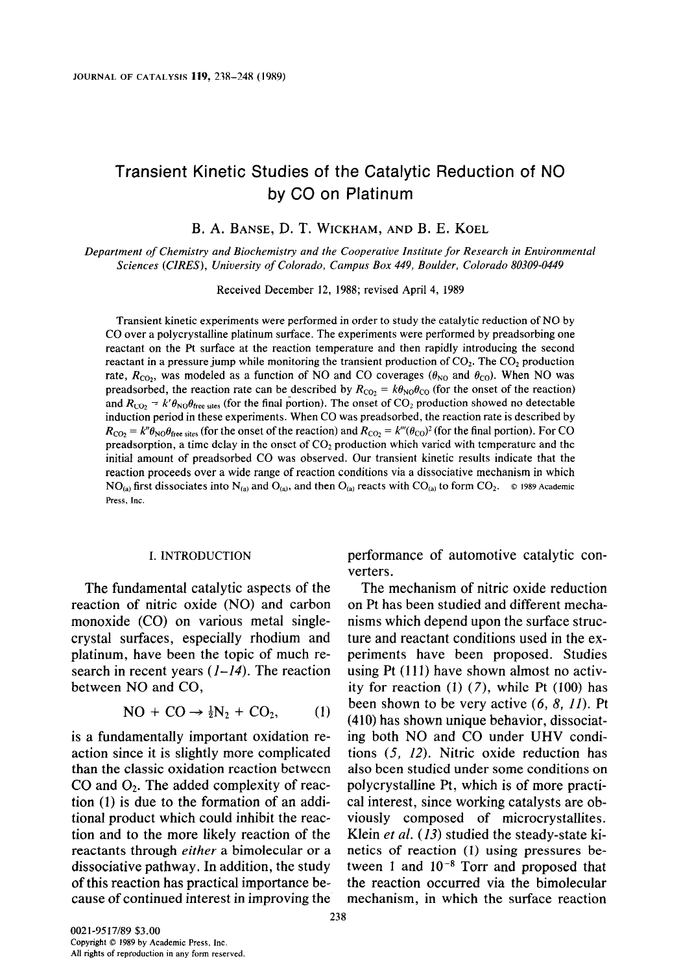# Transient Kinetic Studies of the Catalytic Reduction of NO by CO on Platinum

B. A. BANSE, D. T. WICKHAM, AND B. E. KOEL

Department of Chemistry and Biochemistry and the Cooperative Institute for Research in Environmental Sciences (CIRES), University of Colorado, Campus Box 449, Boulder, Colorado 80309-0449

Received December 12, 1988; revised April 4, 1989

Transient kinetic experiments were performed in order to study the catalytic reduction of NO by CO over a polycrystalline platinum surface. The experiments were performed by preadsorbing one reactant on the Pt surface at the reaction temperature and then rapidly introducing the second reactant in a pressure jump while monitoring the transient production of  $CO<sub>2</sub>$ . The  $CO<sub>2</sub>$  production rate,  $R_{CO_2}$ , was modeled as a function of NO and CO coverages ( $\theta_{NO}$  and  $\theta_{CO}$ ). When NO was preadsorbed, the reaction rate can be described by  $R_{\text{CO}_2} = k\theta_{\text{NO}}\theta_{\text{CO}}$  (for the onset of the reaction) and  $R_{\text{CO}_2} = k' \theta_{\text{NO}} \theta_{\text{free sites}}$  (for the final portion). The onset of CO<sub>2</sub> production showed no detectable induction period in these experiments. When CO was preadsorbed, the reaction rate is described by  $R_{\text{CO}_2} = k'' \theta_{\text{NO}} \theta_{\text{free sites}}$  (for the onset of the reaction) and  $R_{\text{CO}_2} = k''' (\theta_{\text{CO}})^2$  (for the final portion). For CO preadsorption, a time delay in the onset of  $CO<sub>2</sub>$  production which varied with temperature and the initial amount of preadsorbed CO was observed. Our transient kinetic results indicate that the reaction proceeds over a wide range of reaction conditions via a dissociative mechanism in which NO<sub>(a)</sub> first dissociates into N<sub>(a)</sub> and O<sub>(a)</sub>, and then O<sub>(a)</sub> reacts with CO<sub>(a)</sub> to form CO<sub>2</sub>.  $\circ$  1989 Academic Press. Inc.

I. INTRODUCTION performance of automotive catalytic converters.

The fundamental catalytic aspects of the The mechanism of nitric oxide reduction reaction of nitric oxide (NO) and carbon on Pt has been studied and different mechamonoxide (CO) on various metal single- nisms which depend upon the surface struccrystal surfaces, especially rhodium and ture and reactant conditions used in the explatinum, have been the topic of much re- periments have been proposed. Studies search in recent years  $(I - I4)$ . The reaction using Pt (111) have shown almost no activbetween NO and CO,  $\qquad \qquad$  ity for reaction (1) (7), while Pt (100) has NO + CO  $\rightarrow \frac{1}{2}N_2$  + CO<sub>2</sub>, (1) been shown to be very active (6, 8, 11). Pt (410) has shown unique behavior, dissociatis a fundamentally important oxidation re- ing both NO and CO under UHV condiaction since it is slightly more complicated tions  $(5, 12)$ . Nitric oxide reduction has than the classic oxidation reaction between also been studied under some conditions on CO and  $O_2$ . The added complexity of reac- polycrystalline Pt, which is of more practition (1) is due to the formation of an addi- cal interest, since working catalysts are obtional product which could inhibit the reac- viously composed of microcrystallites. tion and to the more likely reaction of the Klein *et al.* (13) studied the steady-state kireactants through either a bimolecular or a netics of reaction (1) using pressures bedissociative pathway. In addition, the study tween 1 and  $10^{-8}$  Torr and proposed that of this reaction has practical importance be- the reaction occurred via the bimolecular cause of continued interest in improving the mechanism, in which the surface reaction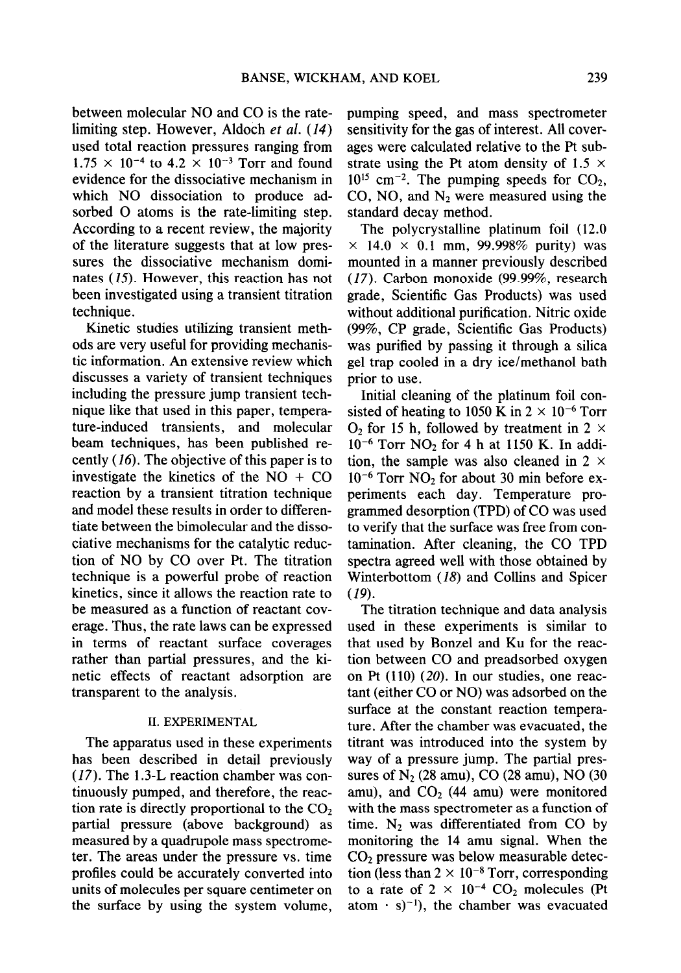between molecular NO and CO is the ratelimiting step. However, Aldoch et al.  $(14)$ used total reaction pressures ranging from  $1.75 \times 10^{-4}$  to  $4.2 \times 10^{-3}$  Torr and found evidence for the dissociative mechanism in which NO dissociation to produce adsorbed 0 atoms is the rate-limiting step. According to a recent review, the majority of the literature suggests that at low pressures the dissociative mechanism dominates (15). However, this reaction has not been investigated using a transient titration technique.

Kinetic studies utilizing transient methods are very useful for providing mechanistic information. An extensive review which discusses a variety of transient techniques including the pressure jump transient technique like that used in this paper, temperature-induced transients, and molecular beam techniques, has been published recently (16). The objective of this paper is to investigate the kinetics of the  $NO + CO$ reaction by a transient titration technique and model these results in order to differentiate between the bimolecular and the dissociative mechanisms for the catalytic reduction of NO by CO over Pt. The titration technique is a powerful probe of reaction kinetics, since it allows the reaction rate to be measured as a function of reactant coverage. Thus, the rate laws can be expressed in terms of reactant surface coverages rather than partial pressures, and the kinetic effects of reactant adsorption are transparent to the analysis.

### II. EXPERIMENTAL

The apparatus used in these experiments has been described in detail previously (17). The 1.3-L reaction chamber was continuously pumped, and therefore, the reaction rate is directly proportional to the  $CO<sub>2</sub>$ partial pressure (above background) as measured by a quadrupole mass spectrometer. The areas under the pressure vs. time profiles could be accurately converted into units of molecules per square centimeter on the surface by using the system volume,

pumping speed, and mass spectrometer sensitivity for the gas of interest. All coverages were calculated relative to the Pt substrate using the Pt atom density of 1.5  $\times$  $10^{15}$  cm<sup>-2</sup>. The pumping speeds for CO<sub>2</sub>, CO, NO, and  $N_2$  were measured using the standard decay method.

The polycrystalline platinum foil (12.0  $\times$  14.0  $\times$  0.1 mm, 99.998% purity) was mounted in a manner previously described (17). Carbon monoxide (99.99%, research grade, Scientific Gas Products) was used without additional purification. Nitric oxide (99%, CP grade, Scientific Gas Products) was purified by passing it through a silica gel trap cooled in a dry ice/methanol bath prior to use.

Initial cleaning of the platinum foil consisted of heating to 1050 K in  $2 \times 10^{-6}$  Torr  $O<sub>2</sub>$  for 15 h, followed by treatment in 2  $\times$  $10^{-6}$  Torr NO<sub>2</sub> for 4 h at 1150 K. In addition, the sample was also cleaned in  $2 \times$  $10^{-6}$  Torr NO<sub>2</sub> for about 30 min before experiments each day. Temperature programmed desorption (TPD) of CO was used to verify that the surface was free from contamination. After cleaning, the CO TPD spectra agreed well with those obtained by Winterbottom (18) and Collins and Spicer (19).

The titration technique and data analysis used in these experiments is similar to that used by Bonzel and Ku for the reaction between CO and preadsorbed oxygen on Pt (110) (20). In our studies, one reactant (either CO or NO) was adsorbed on the surface at the constant reaction temperature. After the chamber was evacuated, the titrant was introduced into the system by way of a pressure jump. The partial pressures of  $N_2$  (28 amu), CO (28 amu), NO (30 amu), and  $CO<sub>2</sub>$  (44 amu) were monitored with the mass spectrometer as a function of time.  $N_2$  was differentiated from CO by monitoring the 14 amu signal. When the  $CO<sub>2</sub>$  pressure was below measurable detection (less than  $2 \times 10^{-8}$  Torr, corresponding to a rate of  $2 \times 10^{-4}$  CO<sub>2</sub> molecules (Pt atom  $\cdot$  s)<sup>-1</sup>), the chamber was evacuated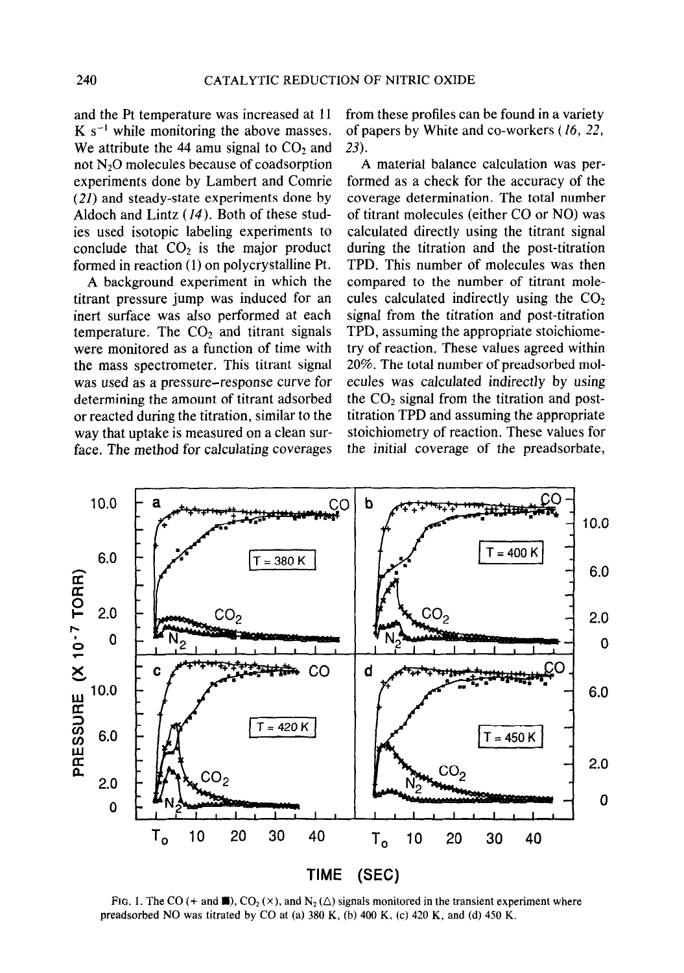and the Pt temperature was increased at 11  $K s^{-1}$  while monitoring the above masses. We attribute the 44 amu signal to  $CO<sub>2</sub>$  and not N20 molecules because of coadsorption experiments done by Lambert and Comrie  $(21)$  and steady-state experiments done by Aldoch and Lintz (14). Both of these studies used isotopic labeling experiments to conclude that  $CO<sub>2</sub>$  is the major product formed in reaction (1) on polycrystalline Pt.

A background experiment in which the titrant pressure jump was induced for an inert surface was also performed at each temperature. The  $CO<sub>2</sub>$  and titrant signals were monitored as a function of time with the mass spectrometer. This titrant signal was used as a pressure-response curve for determining the amount of titrant adsorbed or reacted during the titration, similar to the way that uptake is measured on a clean surface. The method for calculating coverages from these profiles can be found in a variety of papers by White and co-workers (16, 22, 23).

A material balance calculation was performed as a check for the accuracy of the coverage determination. The total number of titrant molecules (either CO or NO) was calculated directly using the titrant signal during the titration and the post-titration TPD. This number of molecules was then compared to the number of titrant molecules calculated indirectly using the  $CO<sub>2</sub>$ signal from the titration and post-titration TPD, assuming the appropriate stoichiometry of reaction, These values agreed within 20%. The total number of preadsorbed molecules was calculated indirectly by using the  $CO<sub>2</sub>$  signal from the titration and posttitration TPD and assuming the appropriate stoichiometry of reaction. These values for the initial coverage of the preadsorbate,



FIG. 1. The CO (+ and  $\blacksquare$ ), CO<sub>2</sub> ( $\times$ ), and N<sub>2</sub> ( $\triangle$ ) signals monitored in the transient experiment where preadsorbed NO was titrated by CO at (a) 380 K, (b) 400 K, (c) 420 K, and (d) 450 K.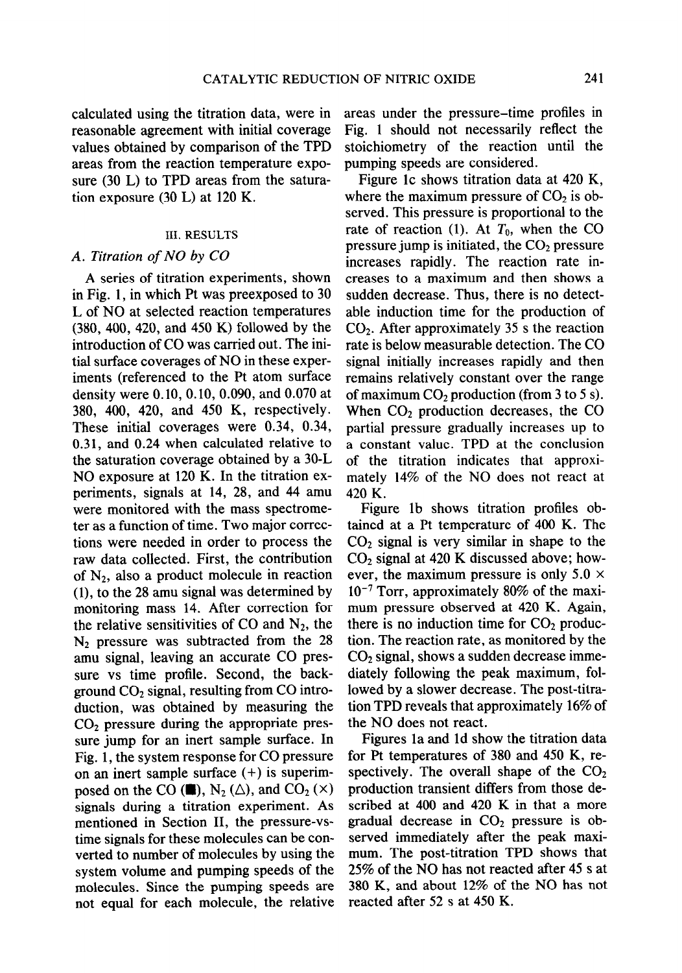calculated using the titration data, were in reasonable agreement with initial coverage values obtained by comparison of the TPD areas from the reaction temperature exposure (30 L) to TPD areas from the saturation exposure (30 L) at 120 K.

# III. RESULTS

# A. Titration of NO by CO

A series of titration experiments, shown in Fig. 1, in which Pt was preexposed to 30 L of NO at selected reaction temperatures (380,400, 420, and 450 K) followed by the introduction of CO was carried out. The initial surface coverages of NO in these experiments (referenced to the Pt atom surface density were 0.10, 0.10, 0.090, and 0.070 at 380, 400, 420, and 450 K, respectively. These initial coverages were 0.34, 0.34, 0.31, and 0.24 when calculated relative to the saturation coverage obtained by a 30-L NO exposure at 120 K. In the titration experiments, signals at 14, 28, and 44 amu were monitored with the mass spectrometer as a function of time. Two major corrections were needed in order to process the raw data collected. First, the contribution of  $N_2$ , also a product molecule in reaction (l), to the 28 amu signal was determined by monitoring mass 14. After correction for the relative sensitivities of CO and  $N_2$ , the  $N_2$  pressure was subtracted from the 28 amu signal, leaving an accurate CO pressure vs time profile. Second, the background  $CO<sub>2</sub>$  signal, resulting from CO introduction, was obtained by measuring the  $CO<sub>2</sub>$  pressure during the appropriate pressure jump for an inert sample surface. In Fig. 1, the system response for CO pressure on an inert sample surface (+) is superimposed on the CO ( $\blacksquare$ ), N<sub>2</sub> ( $\triangle$ ), and CO<sub>2</sub> ( $\times$ ) signals during a titration experiment. As mentioned in Section II, the pressure-vstime signals for these molecules can be converted to number of molecules by using the system volume and pumping speeds of the molecules. Since the pumping speeds are not equal for each molecule, the relative

areas under the pressure-time profiles in Fig. 1 should not necessarily reflect the stoichiometry of the reaction until the pumping speeds are considered.

Figure lc shows titration data at 420 K, where the maximum pressure of  $CO<sub>2</sub>$  is observed. This pressure is proportional to the rate of reaction (1). At  $T_0$ , when the CO pressure jump is initiated, the  $CO<sub>2</sub>$  pressure increases rapidly. The reaction rate increases to a maximum and then shows a sudden decrease. Thus, there is no detectable induction time for the production of  $CO<sub>2</sub>$ . After approximately 35 s the reaction rate is below measurable detection. The CO signal initially increases rapidly and then remains relatively constant over the range of maximum  $CO<sub>2</sub>$  production (from 3 to 5 s). When  $CO<sub>2</sub>$  production decreases, the  $CO$ partial pressure gradually increases up to a constant value. TPD at the conclusion of the titration indicates that approximately 14% of the NO does not react at 420 K.

Figure lb shows titration profiles obtained at a Pt temperature of 400 K. The  $CO<sub>2</sub>$  signal is very similar in shape to the CO2 signal at 420 K discussed above; however, the maximum pressure is only  $5.0 \times$  $10^{-7}$  Torr, approximately 80% of the maximum pressure observed at 420 K. Again, there is no induction time for  $CO<sub>2</sub>$  production. The reaction rate, as monitored by the  $CO<sub>2</sub>$  signal, shows a sudden decrease immediately following the peak maximum, followed by a slower decrease. The post-titration TPD reveals that approximately 16% of the NO does not react.

Figures la and Id show the titration data for Pt temperatures of 380 and 450 K, respectively. The overall shape of the  $CO<sub>2</sub>$ production transient differs from those described at 400 and 420 K in that a more gradual decrease in  $CO<sub>2</sub>$  pressure is observed immediately after the peak maximum. The post-titration TPD shows that 25% of the NO has not reacted after 45 s at 380 K, and about 12% of the NO has not reacted after 52 s at 450 K.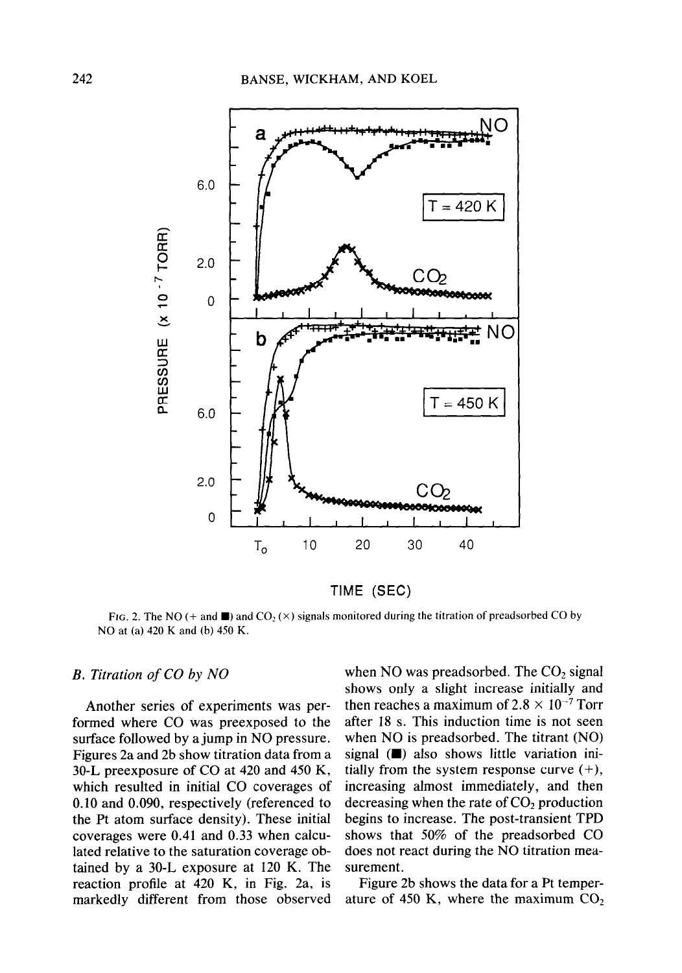

TIME (SEC)

FIG. 2. The NO (+ and  $\blacksquare$ ) and CO<sub>2</sub> ( $\times$ ) signals monitored during the titration of preadsorbed CO by NO at (a) 420 K and (b) 450 K.

# B. Titration of CO by NO

Another series of experiments was performed where CO was preexposed to the surface followed by a jump in NO pressure. Figures 2a and 2b show titration data from a 30-L preexposure of CO at 420 and 450 K, which resulted in initial CO coverages of 0.10 and 0.090, respectively (referenced to the Pt atom surface density). These initial coverages were 0.41 and 0.33 when calculated relative to the saturation coverage obtained by a 30-L exposure at 120 K. The reaction profile at 420 K, in Fig. 2a, is markedly different from those observed when NO was preadsorbed. The  $CO<sub>2</sub>$  signal shows only a slight increase initially and then reaches a maximum of  $2.8 \times 10^{-7}$  Torr after 18 s. This induction time is not seen when NO is preadsorbed. The titrant (NO) signal  $(\blacksquare)$  also shows little variation initially from the system response curve  $(+)$ , increasing almost immediately, and then decreasing when the rate of  $CO<sub>2</sub>$  production begins to increase. The post-transient TPD shows that 50% of the preadsorbed CO does not react during the NO titration measurement.

Figure 2b shows the data for a Pt temperature of 450 K, where the maximum  $CO<sub>2</sub>$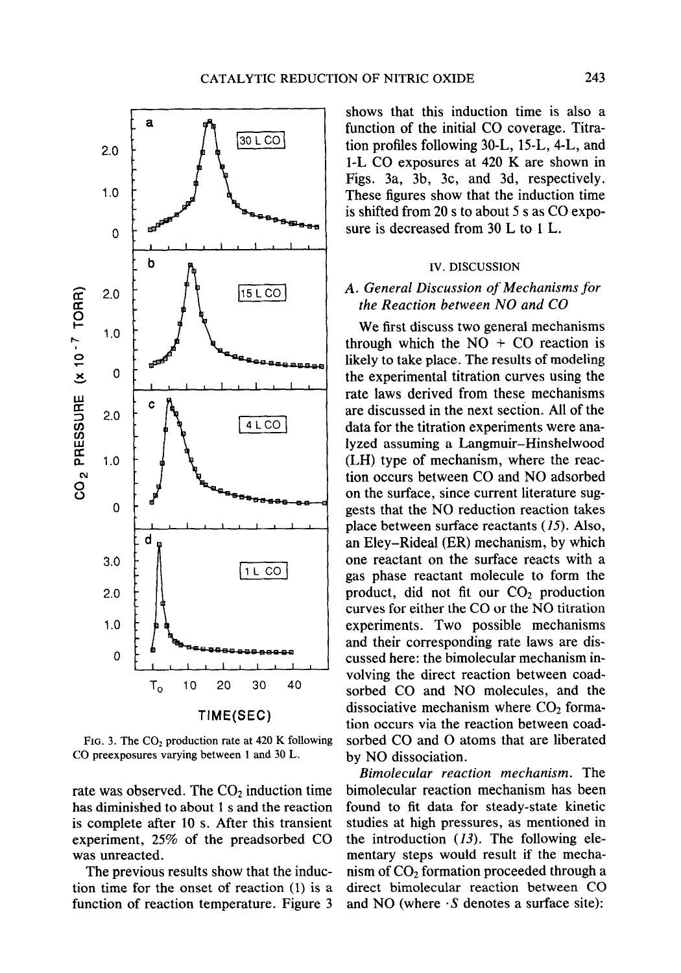

FIG. 3. The  $CO<sub>2</sub>$  production rate at 420 K following CO preexposures varying between 1 and 30 L.

rate was observed. The  $CO<sub>2</sub>$  induction time has diminished to about 1 s and the reaction is complete after 10 s. After this transient experiment, 25% of the preadsorbed CO was unreacted.

The previous results show that the induction time for the onset of reaction (1) is a function of reaction temperature. Figure 3 shows that this induction time is also a function of the initial CO coverage. Titration profiles following 30-L, 15-L, 4-L, and 1-L CO exposures at 420 K are shown in Figs. 3a, 3b, 3c, and 3d, respectively. These figures show that the induction time is shifted from 20 s to about 5 s as CO exposure is decreased from 30 L to 1 L.

## IV. DISCUSSION

# A. General Discussion of Mechanisms for the Reaction between NO and CO

We first discuss two general mechanisms through which the  $NO + CO$  reaction is likely to take place. The results of modeling the experimental titration curves using the rate laws derived from these mechanisms are discussed in the next section. All of the data for the titration experiments were analyzed assuming a Langmuir-Hinshelwood (LH) type of mechanism, where the reaction occurs between CO and NO adsorbed on the surface, since current literature suggests that the NO reduction reaction takes place between surface reactants (15). Also, an Eley-Rideal (ER) mechanism, by which one reactant on the surface reacts with a gas phase reactant molecule to form the product, did not fit our  $CO<sub>2</sub>$  production curves for either the CO or the NO titration experiments. Two possible mechanisms and their corresponding rate laws are discussed here: the bimolecular mechanism involving the direct reaction between coadsorbed CO and NO molecules, and the dissociative mechanism where  $CO<sub>2</sub>$  formation occurs via the reaction between coadsorbed CO and 0 atoms that are liberated by NO dissociation.

Bimolecular reaction mechanism. The bimolecular reaction mechanism has been found to fit data for steady-state kinetic studies at high pressures, as mentioned in the introduction  $(13)$ . The following elementary steps would result if the mechanism of  $CO<sub>2</sub>$  formation proceeded through a direct bimolecular reaction between CO and NO (where  $\cdot$  S denotes a surface site):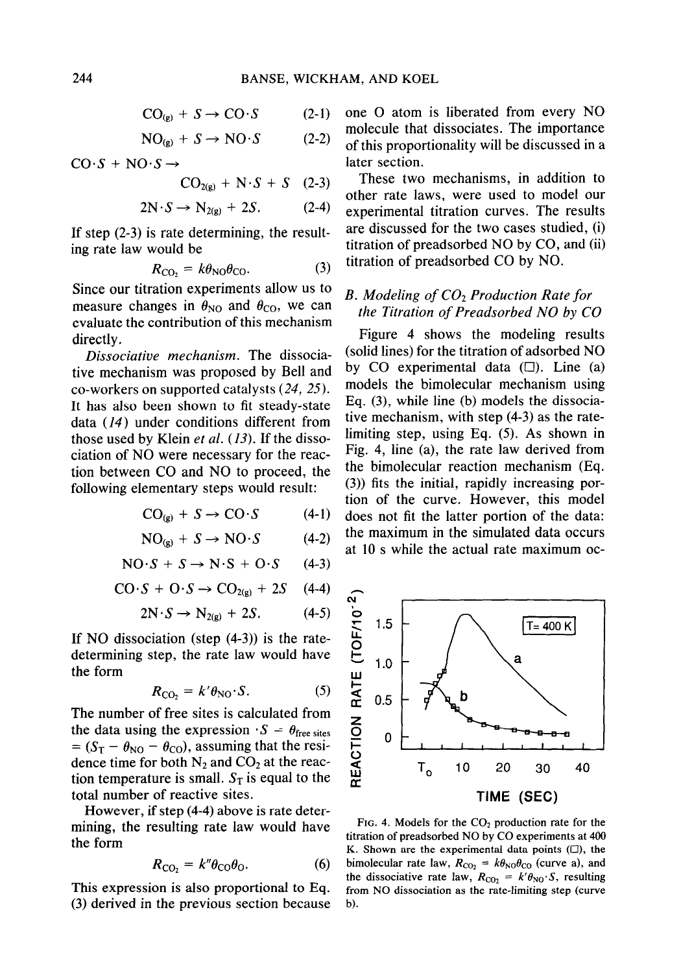$$
CO_{(g)} + S \to CO \cdot S \tag{2-1}
$$

$$
NO_{(g)} + S \rightarrow NO \cdot S \tag{2-2}
$$

$$
CO·S + NO·S \rightarrow
$$

$$
CO_{2(g)} + N \cdot S + S \quad (2-3)
$$

$$
2N \cdot S \to N_{2(g)} + 2S. \tag{2-4}
$$

$$
R_{\rm CO_2} = k\theta_{\rm NO}\theta_{\rm CO}.\tag{3}
$$

Since our titration experiments allow us to measure changes in  $\theta_{NO}$  and  $\theta_{CO}$ , we can measure changes in  $\sigma_{NO}$  and  $\sigma_{CO}$ , we can the Titration of Preadsorbed NO by CO evaluate the contribution of this mechanism

Dissociative mechanism. The dissociaco-workers on supported catalysts  $(24, 25)$ . It has also been shown to fit steady-state Eq. (3), while line (b) models the dissociadata  $(14)$  under conditions different from tive mechanism, with step  $(4-3)$  as the rateciation of NO were necessary for the reac- Fig. 4, line (a), the rate law derived from tion between CO and NO to proceed, the the bimolecular reaction mechanism (Eq.

$$
CO_{(g)} + S \rightarrow CO \cdot S \tag{4-1}
$$

$$
NO_{(a)} + S \to NO \cdot S \tag{4-2}
$$

$$
NO·S + S \rightarrow N·S + O·S \qquad (4-3)
$$

$$
CO \cdot S + O \cdot S \rightarrow CO_{2(g)} + 2S \quad (4-4)
$$

$$
2N \cdot S \to N_{2(g)} + 2S. \tag{4-5}
$$

If NO dissociation (step (4-3)) is the ratedetermining step, the rate law would have the form

$$
R_{\rm{CO}_2} = k' \theta_{\rm{NO}} \cdot S. \tag{5}
$$

The number of free sites is calculated from the data using the expression  $\cdot S = \theta_{\text{free sites}}$  $= (S_T - \theta_{NO} - \theta_{CO})$ , assuming that the residence time for both  $N_2$  and  $CO_2$  at the reaction temperature is small.  $S_T$  is equal to the total number of reactive sites.

However, if step (4-4) above is rate determining, the resulting rate law would have FIG. 4. Models for the  $CO<sub>2</sub>$  production rate for the the form the form  $\frac{1}{2}$  the form  $\frac{1}{2}$  the form  $\frac{1}{2}$  the form  $\frac{1}{2}$  or  $\frac{1}{2}$  at  $\frac{1}{2}$  at  $\frac{1}{2}$  at  $\frac{1}{2}$  at  $\frac{1}{2}$  at  $\frac{1}{2}$  at  $\frac{1}{2}$  at  $\frac{1}{2}$  at  $\frac{1}{2}$  at  $\frac{1}{2}$  at  $\frac$ 

$$
R_{\rm CO_2} = k'' \theta_{\rm CO} \theta_{\rm O}.
$$
 (6)

This expression is also proportional to Eq. This expression is also proportional to Eq.  $\frac{1}{2}$  from NO dissociation as the rate-limiting step (curve (3) derived in the previous section because b).

one O atom is liberated from every NO molecule that dissociates. The importance of this proportionality will be discussed in a later section.

These two mechanisms, in addition to other rate laws, were used to model our experimental titration curves. The results If step  $(2-3)$  is rate determining, the result- are discussed for the two cases studied, (i) ing rate law would be  $t$  titration of preadsorbed NO by CO, and (ii) titration of preadsorbed CO by NO.

# B. Modeling of  $CO<sub>2</sub>$  Production Rate for

directly.<br>Dissociative mechanism The dissocia- (solid lines) for the titration of adsorbed NO tive mechanism was proposed by Bell and by CO experimental data  $(\square)$ . Line (a)<br>co workers on supported catalysts (24, 25) models the bimolecular mechanism using those used by Klein *et al.* (13). If the disso- limiting step, using Eq. (5). As shown in following elementary steps would result: (3)) fits the initial, rapidly increasing portion of the curve. However, this model does not fit the latter portion of the data: the maximum in the simulated data occurs at 10 s while the actual rate maximum oc-



K. Shown are the experimental data points  $(\Box)$ , the bimolecular rate law,  $R_{\text{CO}_2} = k\theta_{\text{NO}}\theta_{\text{CO}}$  (curve a), and the dissociative rate law,  $R_{CO_2} = k' \theta_{NO} \cdot S$ , resulting the dissociative rate law,  $R_{CO_2} = k' \theta_{NO} \cdot S$ , resulting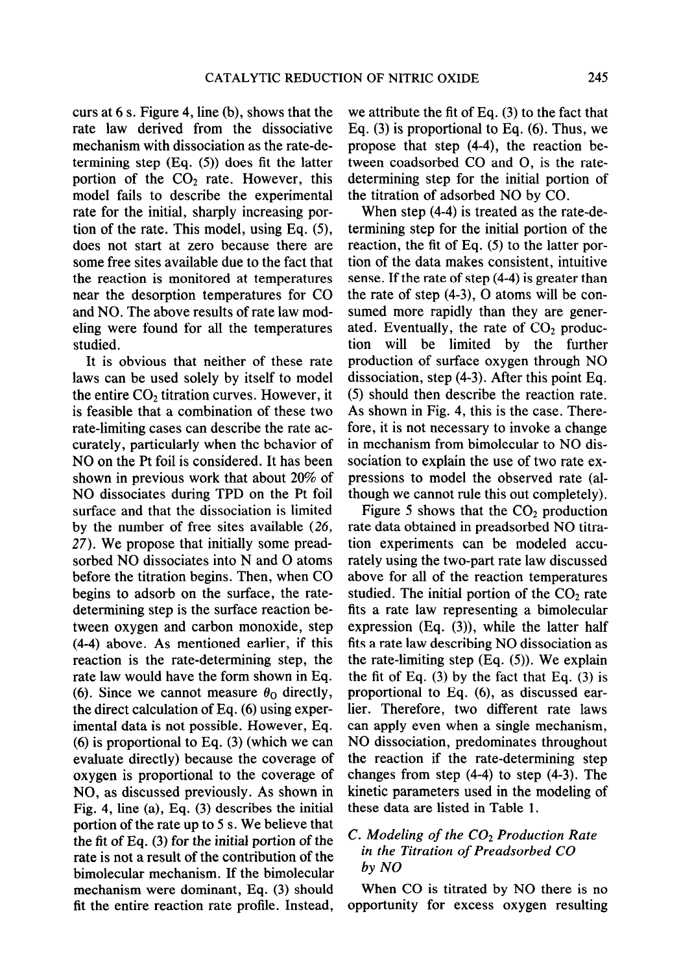curs at 6 s. Figure 4, line (b), shows that the rate law derived from the dissociative mechanism with dissociation as the rate-determining step (Eq. (5)) does fit the latter portion of the  $CO<sub>2</sub>$  rate. However, this model fails to describe the experimental rate for the initial, sharply increasing portion of the rate. This model, using Eq. (5), does not start at zero because there are some free sites available due to the fact that the reaction is monitored at temperatures near the desorption temperatures for CO and NO. The above results of rate law modeling were found for all the temperatures studied.

It is obvious that neither of these rate laws can be used solely by itself to model the entire  $CO<sub>2</sub>$  titration curves. However, it is feasible that a combination of these two rate-limiting cases can describe the rate accurately, particularly when the behavior of NO on the Pt foil is considered. It has been shown in previous work that about 20% of NO dissociates during TPD on the Pt foil surface and that the dissociation is limited by the number of free sites available (26, 27). We propose that initially some preadsorbed NO dissociates into N and O atoms before the titration begins. Then, when CO begins to adsorb on the surface, the ratedetermining step is the surface reaction between oxygen and carbon monoxide, step (4-4) above. As mentioned earlier, if this reaction is the rate-determining step, the rate law would have the form shown in Eq. (6). Since we cannot measure  $\theta_0$  directly, the direct calculation of Eq. (6) using experimental data is not possible. However, Eq. (6) is proportional to Eq. (3) (which we can evaluate directly) because the coverage of oxygen is proportional to the coverage of NO, as discussed previously. As shown in Fig. 4, line (a), Eq. (3) describes the initial portion of the rate up to 5 s. We believe that the fit of Eq. (3) for the initial portion of the rate is not a result of the contribution of the bimolecular mechanism. If the bimolecular mechanism were dominant, Eq. (3) should fit the entire reaction rate profile. Instead,

we attribute the fit of Eq. (3) to the fact that Eq. (3) is proportional to Eq. (6). Thus, we propose that step (4-4), the reaction between coadsorbed CO and 0, is the ratedetermining step for the initial portion of the titration of adsorbed NO by CO.

When step (4-4) is treated as the rate-determining step for the initial portion of the reaction, the fit of Eq. (5) to the latter portion of the data makes consistent, intuitive sense. If the rate of step (4-4) is greater than the rate of step (4-3), 0 atoms will be consumed more rapidly than they are generated. Eventually, the rate of  $CO<sub>2</sub>$  production will be limited by the further production of surface oxygen through NO dissociation, step (4-3). After this point Eq. (5) should then describe the reaction rate. As shown in Fig. 4, this is the case. Therefore, it is not necessary to invoke a change in mechanism from bimolecular to NO dissociation to explain the use of two rate expressions to model the observed rate (although we cannot rule this out completely).

Figure 5 shows that the  $CO<sub>2</sub>$  production rate data obtained in preadsorbed NO titration experiments can be modeled accurately using the two-part rate law discussed above for all of the reaction temperatures studied. The initial portion of the  $CO<sub>2</sub>$  rate fits a rate law representing a bimolecular expression (Eq. (3)), while the latter half fits a rate law describing NO dissociation as the rate-limiting step  $(Eq. (5))$ . We explain the fit of Eq.  $(3)$  by the fact that Eq.  $(3)$  is proportional to Eq. (6), as discussed earlier. Therefore, two different rate laws can apply even when a single mechanism, NO dissociation, predominates throughout the reaction if the rate-determining step changes from step (4-4) to step (4-3). The kinetic parameters used in the modeling of these data are listed in Table 1.

# C. Modeling of the  $CO<sub>2</sub>$  Production Rate in the Titration of Preadsorbed CO by NO

When CO is titrated by NO there is no opportunity for excess oxygen resulting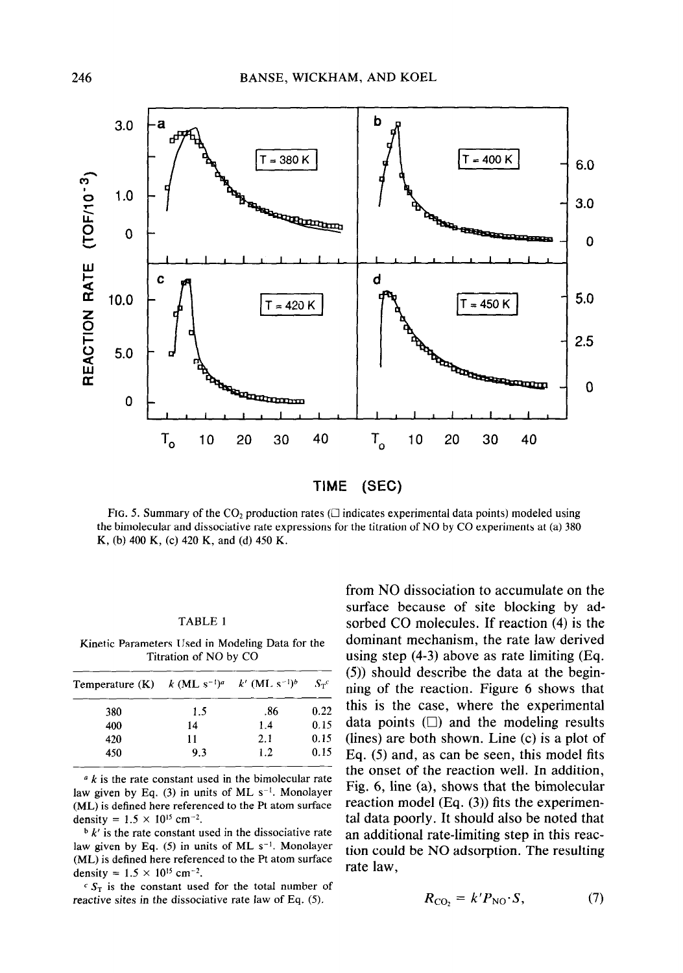

FIG. 5. Summary of the  $CO<sub>2</sub>$  production rates ( $\Box$  indicates experimental data points) modeled using the bimolecular and dissociative rate expressions for the titration of NO by CO experiments at (a) 380 K, (b) 400 K, (c) 420 K, and (d) 450 K.

#### TABLE 1

Kinetic Parameters Used in Modeling Data for the Titration of NO by CO

| Temperature (K) $k$ (ML s <sup>-1)a</sup> $k'$ (ML s <sup>-1)b</sup> |     |     | $S_{\tau}^c$ |  |
|----------------------------------------------------------------------|-----|-----|--------------|--|
| 380                                                                  | 1.5 | .86 | 0.22         |  |
| 400                                                                  | 14  | 1.4 | 0.15         |  |
| 420                                                                  | 11  | 2.1 | 0.15         |  |
| 450                                                                  | 9.3 | 1.2 | 0.15         |  |

 $a \, k$  is the rate constant used in the bimolecular rate law given by Eq. (3) in units of ML  $s^{-1}$ . Monolayer (ML) is defined here referenced to the Pt atom surface density =  $1.5 \times 10^{15}$  cm<sup>-2</sup>.

 $\frac{b}{k}$  is the rate constant used in the dissociative rate law given by Eq.  $(5)$  in units of ML s<sup>-1</sup>. Monolayer (ML) is defined here referenced to the Pt atom surface density =  $1.5 \times 10^{15}$  cm<sup>-2</sup>.

 $c S_T$  is the constant used for the total number of reactive sites in the dissociative rate law of Eq. (5).

from NO dissociation to accumulate on the surface because of site blocking by adsorbed CO molecules. If reaction (4) is the dominant mechanism, the rate law derived using step (4-3) above as rate limiting (Eq. (5)) should describe the data at the beginning of the reaction. Figure 6 shows that this is the case, where the experimental data points  $(\square)$  and the modeling results (lines) are both shown. Line (c) is a plot of Eq. (5) and, as can be seen, this model fits the onset of the reaction well. In addition, Fig. 6, line (a), shows that the bimolecular reaction model (Eq. (3)) fits the experimental data poorly. It should also be noted that an additional rate-limiting step in this reaction could be NO adsorption. The resulting rate law,

$$
R_{\rm CO_2} = k' P_{\rm NO} \cdot S, \tag{7}
$$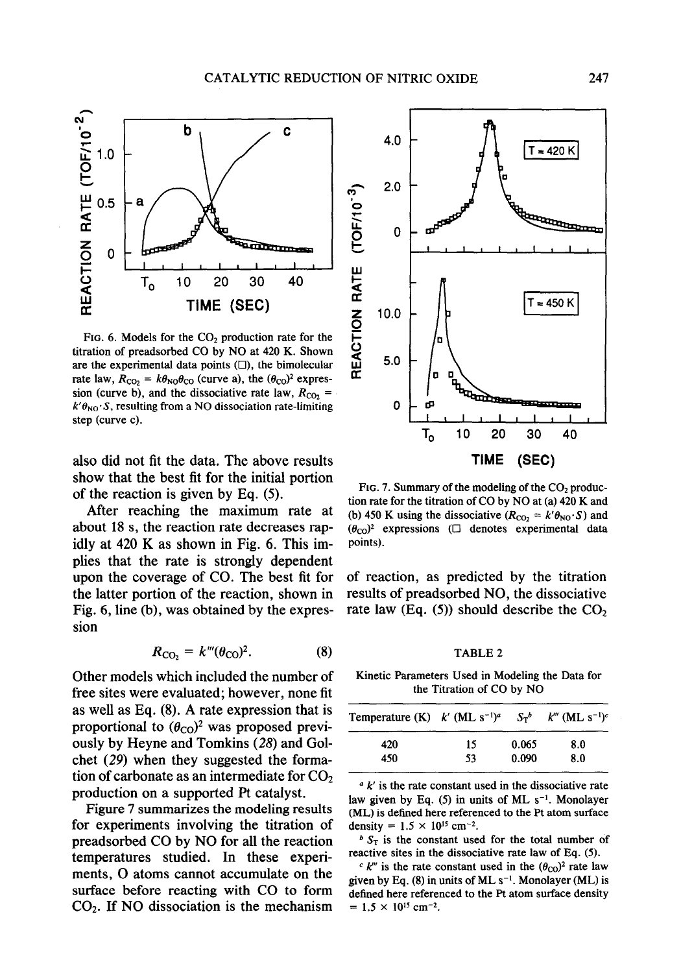

FIG. 6. Models for the  $CO<sub>2</sub>$  production rate for the titration of preadsorbed CO by NO at 420 K. Shown are the experimental data points  $( \Box )$ , the bimolecular rate law,  $R_{\text{CO}_2} = k\theta_{\text{NO}}\theta_{\text{CO}}$  (curve a), the  $(\theta_{\text{CO}})^2$  expression (curve b), and the dissociative rate law,  $R_{CO_2}$  =  $k'\theta_{\text{NO}}\cdot S$ , resulting from a NO dissociation rate-limiting 0 step (curve c).

also did not fit the data. The above results show that the best fit for the initial portion of the reaction is given by Eq. (5).

After reaching the maximum rate at about 18 s, the reaction rate decreases rapidly at 420 K as shown in Fig. 6. This implies that the rate is strongly dependent upon the coverage of CO. The best fit for the latter portion of the reaction, shown in Fig. 6, line (b), was obtained by the expression

$$
R_{\rm{CO}_2} = k^{\prime\prime\prime}(\theta_{\rm{CO}})^2. \tag{8}
$$

Other models which included the number of free sites were evaluated; however, none fit as well as Eq. (8). A rate expression that is proportional to  $(\theta_{\text{CO}})^2$  was proposed previously by Heyne and Tomkins (28) and Golchet (29) when they suggested the formation of carbonate as an intermediate for  $CO<sub>2</sub>$ production on a supported Pt catalyst.

Figure 7 summarizes the modeling results for experiments involving the titration of preadsorbed CO by NO for all the reaction temperatures studied. In these experiments, 0 atoms cannot accumulate on the surface before reacting with CO to form  $CO<sub>2</sub>$ . If NO dissociation is the mechanism



FIG. 7. Summary of the modeling of the  $CO<sub>2</sub>$  production rate for the titration of CO by NO at (a) 420 K and (b) 450 K using the dissociative ( $R_{CO_2} = k' \theta_{NO} \cdot S$ ) and  $(\theta_{\text{CO}})^2$  expressions ( $\Box$  denotes experimental data points).

of reaction, as predicted by the titration results of preadsorbed NO, the dissociative rate law (Eq.  $(5)$ ) should describe the  $CO<sub>2</sub>$ 

TABLE 2

Kinetic Parameters Used in Modeling the Data for the Titration of CO by NO

| Temperature (K) $k'$ (ML s <sup>-1)a</sup> |    | $S_{\text{T}}^b$ | $k^{\prime\prime\prime}$ (ML s <sup>-1</sup> ) <sup>c</sup> |
|--------------------------------------------|----|------------------|-------------------------------------------------------------|
| 420                                        | 15 | 0.065            | 8.0                                                         |
| 450                                        | 53 | 0.090            | 8.0                                                         |

 $a$  k' is the rate constant used in the dissociative rate law given by Eq.  $(5)$  in units of ML s<sup>-1</sup>. Monolayer (ML) is defined here referenced to the Pt atom surface density =  $1.5 \times 10^{15}$  cm<sup>-2</sup>.

 $b S<sub>T</sub>$  is the constant used for the total number of reactive sites in the dissociative rate law of Eq. (5).

 $c$  k''' is the rate constant used in the  $(\theta_{\rm CO})^2$  rate law given by Eq. (8) in units of ML  $s^{-1}$ . Monolayer (ML) is defined here referenced to the Pt atom surface density  $= 1.5 \times 10^{15}$  cm<sup>-2</sup>.